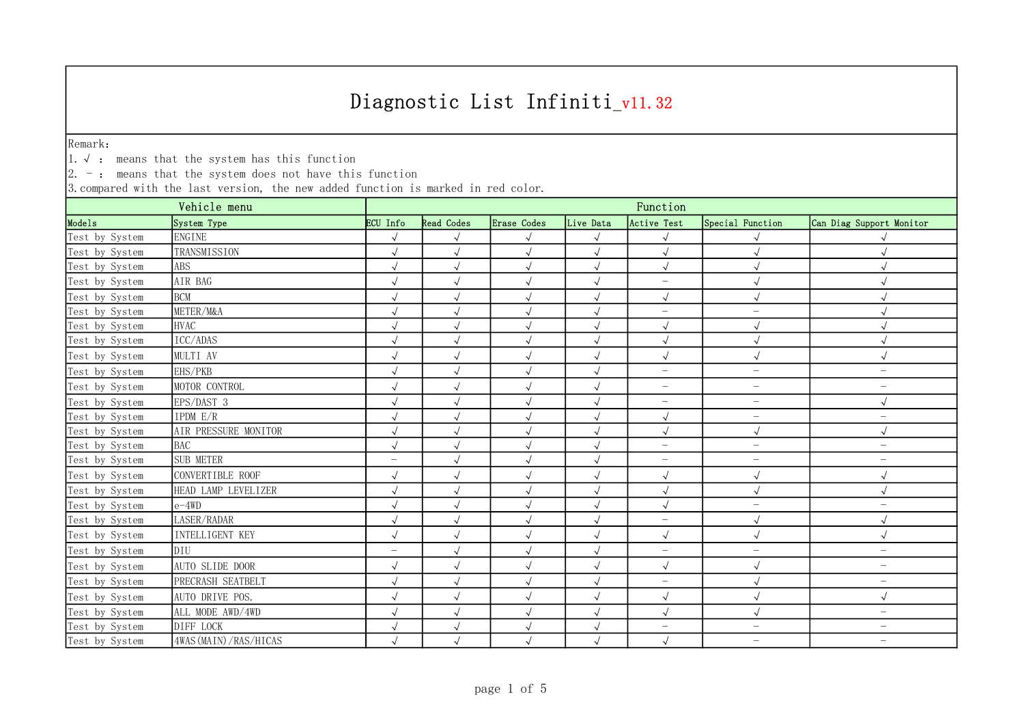Remark:

1.√ : means that the system has this function

 $\vert 2.$  -: means that the system does not have this function

| Vehicle menu   |                         | Function                 |                      |                      |                    |                          |                          |                          |  |  |
|----------------|-------------------------|--------------------------|----------------------|----------------------|--------------------|--------------------------|--------------------------|--------------------------|--|--|
| Mode1s         | System Type             | ECU Info                 | <b>Read Codes</b>    | Erase Codes          | Live Data          | Active Test              | Special Function         | Can Diag Support Monitor |  |  |
| Test by System | <b>ENGINE</b>           | $\sqrt{ }$               | $\sqrt{ }$           | $\sqrt{ }$           | $\sqrt{}$          | $\sqrt{ }$               |                          |                          |  |  |
| Test by System | TRANSMISSION            | $\sqrt{ }$               | $\sqrt{ }$           | $\sqrt{}$            | $\sqrt{}$          | $\sqrt{ }$               |                          |                          |  |  |
| Test by System | <b>ABS</b>              | $\sqrt{}$                | $\sqrt{ }$           | $\sqrt{ }$           | $\sqrt{}$          | $\sqrt{ }$               |                          |                          |  |  |
| Test by System | AIR BAG                 | $\sqrt{}$                | $\sqrt{ }$           | $\sqrt{ }$           | $\sqrt{ }$         | $\overline{\phantom{m}}$ | $\sqrt{\phantom{a}}$     |                          |  |  |
| Test by System | <b>BCM</b>              | $\sqrt{ }$               | $\sqrt{ }$           | $\sqrt{ }$           | $\sqrt{ }$         | $\sqrt{ }$               |                          |                          |  |  |
| Test by System | METER/M&A               | $\sqrt{ }$               |                      |                      | $\sqrt{ }$         | $\overline{\phantom{m}}$ | $\qquad \qquad -$        |                          |  |  |
| Test by System | <b>HVAC</b>             | $\sqrt{}$                | $\sqrt{ }$           |                      | $\sqrt{}$          | $\sqrt{ }$               |                          |                          |  |  |
| Test by System | $\rm{ICC}/\rm{ADAS}$    | $\sqrt{ }$               | $\sqrt{ }$           | $\sqrt{ }$           | $\sqrt{ }$         | $\sqrt{}$                | $\sqrt{\phantom{a}}$     | $\sqrt{ }$               |  |  |
| Test by System | MULTI AV                | $\sqrt{}$                | $\sqrt{ }$           | $\sqrt{ }$           | $\sqrt{ }$         | $\sqrt{ }$               | $\sqrt{ }$               |                          |  |  |
| Test by System | EHS/PKB                 | $\sqrt{}$                |                      |                      | $\sqrt{}$          | $\overline{\phantom{m}}$ | $\overline{\phantom{m}}$ | $\overline{\phantom{0}}$ |  |  |
| Test by System | MOTOR CONTROL           | $\sqrt{}$                | $\sqrt{ }$           |                      | $\sqrt{ }$         | $\overline{\phantom{m}}$ | $\overline{\phantom{m}}$ | -                        |  |  |
| Test by System | EPS/DAST 3              | $\sqrt{ }$               | $\sqrt{ }$           | $\sqrt{ }$           | $\sqrt{}$          | $\overline{\phantom{m}}$ | $\overline{\phantom{m}}$ | $\sqrt{ }$               |  |  |
| Test by System | IPDM E/R                | $\sqrt{\phantom{a}}$     |                      |                      | $\sqrt{ }$         | $\sqrt{ }$               | $\overline{\phantom{0}}$ | $\overline{\phantom{m}}$ |  |  |
| Test by System | AIR PRESSURE MONITOR    | $\sqrt{ }$               | $\sqrt{ }$           | $\sqrt{ }$           | $\sqrt{ }$         | $\sqrt{ }$               | $\sqrt{ }$               | $\sqrt{ }$               |  |  |
| Test by System | <b>BAC</b>              | $\sqrt{ }$               | $\sqrt{ }$           | $\sqrt{ }$           | $\sqrt{ }$         | $\overline{\phantom{m}}$ | $\overline{\phantom{m}}$ | $\overline{\phantom{0}}$ |  |  |
| Test by System | SUB METER               | $\overline{\phantom{0}}$ | $\sqrt{ }$           | $\sqrt{ }$           | $\sqrt{ }$         | $\overline{\phantom{m}}$ | $\overline{\phantom{m}}$ | -                        |  |  |
| Test by System | CONVERTIBLE ROOF        | $\sqrt{ }$               | $\sqrt{ }$           | $\sqrt{ }$           | $\sqrt{ }$         | $\sqrt{ }$               | $\sqrt{ }$               | $\sqrt{ }$               |  |  |
| Test by System | HEAD LAMP LEVELIZER     | $\sqrt{ }$               | $\sqrt{ }$           | $\sqrt{ }$           | $\sqrt{ }$         | $\sqrt{}$                | $\sqrt{}$                | $\sqrt{ }$               |  |  |
| Test by System | $e-4WD$                 | $\sqrt{ }$               | $\sqrt{\phantom{a}}$ | $\sqrt{ }$           | $\sqrt{ }$         | $\sqrt{ }$               | $\overline{\phantom{m}}$ | $\overline{\phantom{0}}$ |  |  |
| Test by System | LASER/RADAR             | $\sqrt{ }$               | $\sqrt{ }$           | $\sqrt{ }$           | $\sqrt{ }$         | $\overline{\phantom{m}}$ | $\sqrt{ }$               |                          |  |  |
| Test by System | INTELLIGENT KEY         | $\sqrt{}$                | $\sqrt{ }$           | $\sqrt{\phantom{a}}$ | $\sqrt{ }$         | $\sqrt{ }$               | $\sqrt{}$                |                          |  |  |
| Test by System | DIU                     | $\overline{\phantom{m}}$ | $\sqrt{ }$           | $\sqrt{ }$           | $\sqrt{ }$         | $\overline{\phantom{a}}$ | $\overline{\phantom{m}}$ | $\overline{\phantom{0}}$ |  |  |
| Test by System | AUTO SLIDE DOOR         | $\sqrt{ }$               | $\sqrt{ }$           | $\sqrt{ }$           | $\sqrt{ }$         | $\sqrt{ }$               | $\sqrt{ }$               | $\overline{\phantom{0}}$ |  |  |
| Test by System | PRECRASH SEATBELT       | $\sqrt{ }$               | $\sqrt{ }$           | $\sqrt{ }$           | $\sqrt{ }$         | $\overline{\phantom{a}}$ | $\sqrt{ }$               | $\overline{\phantom{0}}$ |  |  |
| Test by System | AUTO DRIVE POS.         | $\sqrt{ }$               | $\sqrt{ }$           | $\sqrt{ }$           | $\sqrt{ }$         | $\sqrt{ }$               | $\sqrt{ }$               | $\sqrt{ }$               |  |  |
| Test by System | ALL MODE AWD/4WD        | $\sqrt{ }$               | $\sqrt{ }$           | $\sqrt{ }$           | $\sqrt{}$          | $\sqrt{ }$               |                          | $\overline{\phantom{0}}$ |  |  |
| Test by System | DIFF LOCK               | $\sqrt{2}$               | $\sim$               | $\sim$               | $\mathbf{\hat{v}}$ | $\overline{\phantom{m}}$ | $\overline{\phantom{m}}$ | $\overline{\phantom{0}}$ |  |  |
| Test by System | 4WAS (MAIN) / RAS/HICAS | $\sqrt{ }$               | $\sqrt{ }$           | $\sqrt{ }$           | $\sqrt{ }$         | $\sqrt{ }$               | $\overline{\phantom{m}}$ | $\overline{\phantom{0}}$ |  |  |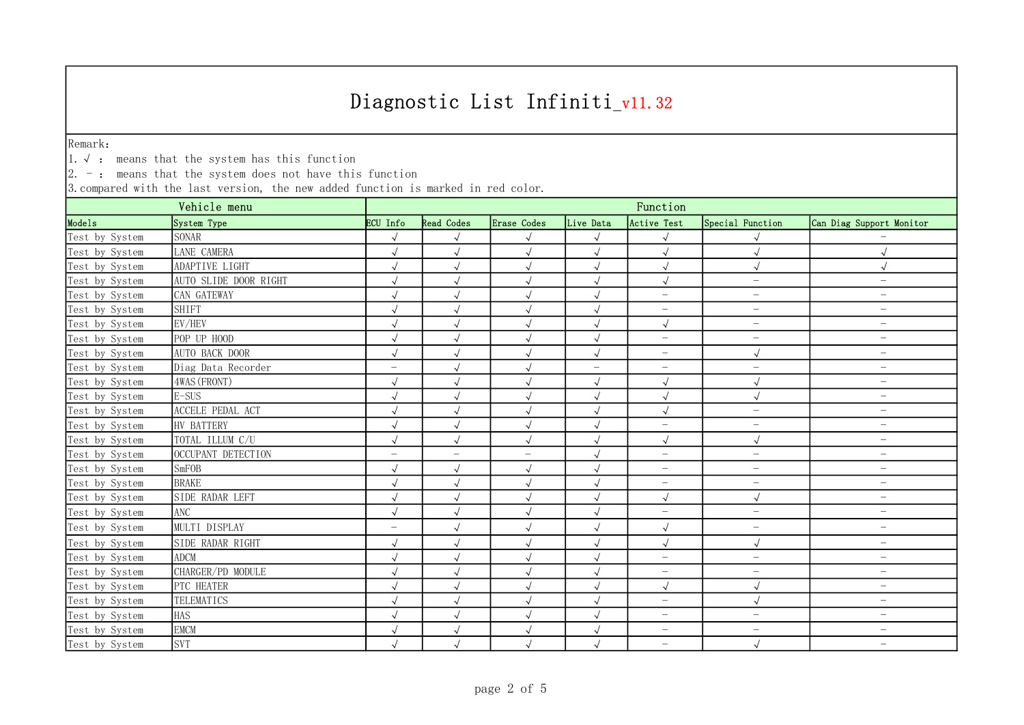Remark:

1.√ : means that the system has this function

 $\vert 2.$  -: means that the system does not have this function

| Vehicle menu   |                       | Function                 |                          |                          |                          |                          |                          |                          |  |  |
|----------------|-----------------------|--------------------------|--------------------------|--------------------------|--------------------------|--------------------------|--------------------------|--------------------------|--|--|
| Mode1s         | System Type           | ECU Info                 | <b>Read Codes</b>        | Erase Codes              | Live Data                | <b>Active Test</b>       | Special Function         | Can Diag Support Monitor |  |  |
| Test by System | <b>SONAR</b>          | $\sqrt{ }$               | $\sqrt{ }$               | $\sqrt{ }$               | $\sqrt{}$                | $\sqrt{ }$               |                          |                          |  |  |
| Test by System | LANE CAMERA           | $\sqrt{ }$               | $\sqrt{ }$               | $\sqrt{ }$               | $\sqrt{}$                | $\sqrt{ }$               | $\sqrt{ }$               | $\sqrt{ }$               |  |  |
| Test by System | ADAPTIVE LIGHT        | $\sqrt{}$                | $\sqrt{ }$               | $\sqrt{ }$               | $\sqrt{}$                | $\sqrt{ }$               | $\sqrt{ }$               | $\sqrt{ }$               |  |  |
| Test by System | AUTO SLIDE DOOR RIGHT | $\sqrt{ }$               | $\sqrt{ }$               | $\sqrt{ }$               | $\sqrt{}$                | $\sqrt{ }$               | $\overline{\phantom{m}}$ | $\overline{\phantom{m}}$ |  |  |
| Test by System | CAN GATEWAY           | $\sqrt{ }$               | $\sqrt{ }$               | $\sqrt{ }$               | $\sqrt{ }$               | $\overline{\phantom{m}}$ | $\overline{\phantom{0}}$ | $\qquad \qquad -$        |  |  |
| Test by System | <b>SHIFT</b>          | $\sqrt{2}$               | $\sqrt{ }$               | $\sqrt{ }$               | $\sqrt{2}$               | $\overline{\phantom{m}}$ | $\overline{\phantom{m}}$ | $\qquad \qquad -$        |  |  |
| Test by System | EV/HEV                | $\sqrt{ }$               | $\sqrt{ }$               | $\sqrt{ }$               | $\sqrt{ }$               | $\sqrt{ }$               | $\overline{\phantom{m}}$ | $\qquad \qquad -$        |  |  |
| Test by System | POP UP HOOD           | $\sqrt{}$                | $\sqrt{ }$               |                          | $\sqrt{}$                | $\overline{\phantom{m}}$ | $\overline{\phantom{0}}$ | $\qquad \qquad -$        |  |  |
| Test by System | AUTO BACK DOOR        | $\sqrt{ }$               | $\sqrt{ }$               | $\sqrt{ }$               | $\sqrt{ }$               | $\overline{\phantom{0}}$ | $\sqrt{ }$               | $\overline{\phantom{m}}$ |  |  |
| Test by System | Diag Data Recorder    | $\overline{\phantom{m}}$ | $\sqrt{ }$               | $\sqrt{ }$               | $\overline{\phantom{m}}$ | $\qquad \qquad -$        | $\overline{\phantom{m}}$ | $\qquad \qquad -$        |  |  |
| Test by System | 4WAS (FRONT)          | $\sqrt{}$                | $\sqrt{ }$               | $\sqrt{ }$               | $\sqrt{}$                | $\sqrt{ }$               | $\sqrt{ }$               | $\overline{\phantom{m}}$ |  |  |
| Test by System | $E-SUS$               | $\sqrt{ }$               | $\sqrt{}$                | $\checkmark$             | $\sqrt{}$                | $\sqrt{ }$               |                          | $\qquad \qquad -$        |  |  |
| Test by System | ACCELE PEDAL ACT      | $\sqrt{ }$               | $\sqrt{ }$               | $\sqrt{ }$               | $\sqrt{ }$               | $\sqrt{ }$               | $\overline{\phantom{m}}$ | $\overline{\phantom{m}}$ |  |  |
| Test by System | HV BATTERY            | $\sqrt{ }$               | $\sqrt{ }$               | $\sqrt{ }$               | $\sqrt{ }$               | $\overline{\phantom{m}}$ | $\overline{\phantom{m}}$ | $\overline{\phantom{0}}$ |  |  |
| Test by System | TOTAL ILLUM C/U       | $\sqrt{ }$               | $\sqrt{ }$               | $\sqrt{ }$               | $\sqrt{}$                | $\sqrt{\phantom{a}}$     | $\sqrt{ }$               | $\qquad \qquad -$        |  |  |
| Test by System | OCCUPANT DETECTION    | $\overline{\phantom{m}}$ | $\overline{\phantom{m}}$ | $\overline{\phantom{m}}$ | $\sqrt{ }$               | $\overline{\phantom{a}}$ | $\overline{\phantom{a}}$ | $\qquad \qquad -$        |  |  |
| Test by System | SmFOB                 | $\sqrt{ }$               | $\sqrt{ }$               | $\sqrt{ }$               | $\sqrt{}$                | $\overline{\phantom{m}}$ | $\qquad \qquad -$        | $\overline{\phantom{0}}$ |  |  |
| Test by System | <b>BRAKE</b>          | $\sqrt{}$                | $\sqrt{ }$               | $\sqrt{ }$               | $\sqrt{ }$               | $\overline{\phantom{m}}$ | $\overline{\phantom{m}}$ | $\overline{\phantom{0}}$ |  |  |
| Test by System | SIDE RADAR LEFT       | $\sqrt{}$                | $\sqrt{ }$               | $\sqrt{}$                | $\sqrt{}$                | $\sqrt{ }$               | $\sqrt{ }$               | $\overline{\phantom{0}}$ |  |  |
| Test by System | <b>ANC</b>            | $\sqrt{ }$               | $\sqrt{ }$               | $\sqrt{ }$               | $\sqrt{}$                | $\overline{\phantom{a}}$ | $\overline{\phantom{0}}$ | $\qquad \qquad -$        |  |  |
| Test by System | MULTI DISPLAY         | $\overline{\phantom{m}}$ | $\sqrt{ }$               | $\sqrt{ }$               | $\sqrt{ }$               | $\sqrt{ }$               | $\overline{\phantom{a}}$ | $\overline{\phantom{m}}$ |  |  |
| Test by System | SIDE RADAR RIGHT      | $\sqrt{}$                | $\sqrt{ }$               | $\sqrt{}$                | $\sqrt{}$                | $\sqrt{}$                | $\sqrt{ }$               | $\qquad \qquad -$        |  |  |
| Test by System | <b>ADCM</b>           | $\sqrt{ }$               | $\sqrt{ }$               |                          | $\sqrt{ }$               | $\overline{\phantom{m}}$ | $\overline{\phantom{m}}$ | $\qquad \qquad -$        |  |  |
| Test by System | CHARGER/PD MODULE     | $\sqrt{ }$               | $\sqrt{ }$               | $\sqrt{ }$               | $\sqrt{}$                | $\overline{\phantom{m}}$ | $\overline{\phantom{m}}$ | $\overline{\phantom{0}}$ |  |  |
| Test by System | PTC HEATER            | $\sqrt{ }$               | $\sqrt{ }$               | $\sqrt{ }$               | $\sqrt{ }$               | $\sqrt{ }$               | $\sqrt{ }$               | $\qquad \qquad -$        |  |  |
| Test by System | TELEMATICS            | $\sqrt{ }$               | $\sqrt{ }$               | $\sqrt{ }$               | $\sqrt{}$                | $\overline{\phantom{m}}$ | $\sqrt{ }$               | $\overline{\phantom{0}}$ |  |  |
| Test by System | <b>HAS</b>            | $\sqrt{}$                | $\sqrt{ }$               | $\sqrt{}$                | $\sqrt{}$                | $\overline{\phantom{m}}$ | $\qquad \qquad -$        | $\overline{\phantom{0}}$ |  |  |
| Test by System | <b>EMCM</b>           | $\sqrt{ }$               | $\sqrt{ }$               | $\sqrt{ }$               | $\sqrt{}$                | $\overline{\phantom{m}}$ | $\overline{\phantom{m}}$ | $\overline{\phantom{a}}$ |  |  |
| Test by System | <b>SVT</b>            | $\sqrt{ }$               | $\sqrt{ }$               | $\sqrt{ }$               | $\sqrt{ }$               | $\overline{\phantom{0}}$ | $\sqrt{}$                | $\overline{\phantom{0}}$ |  |  |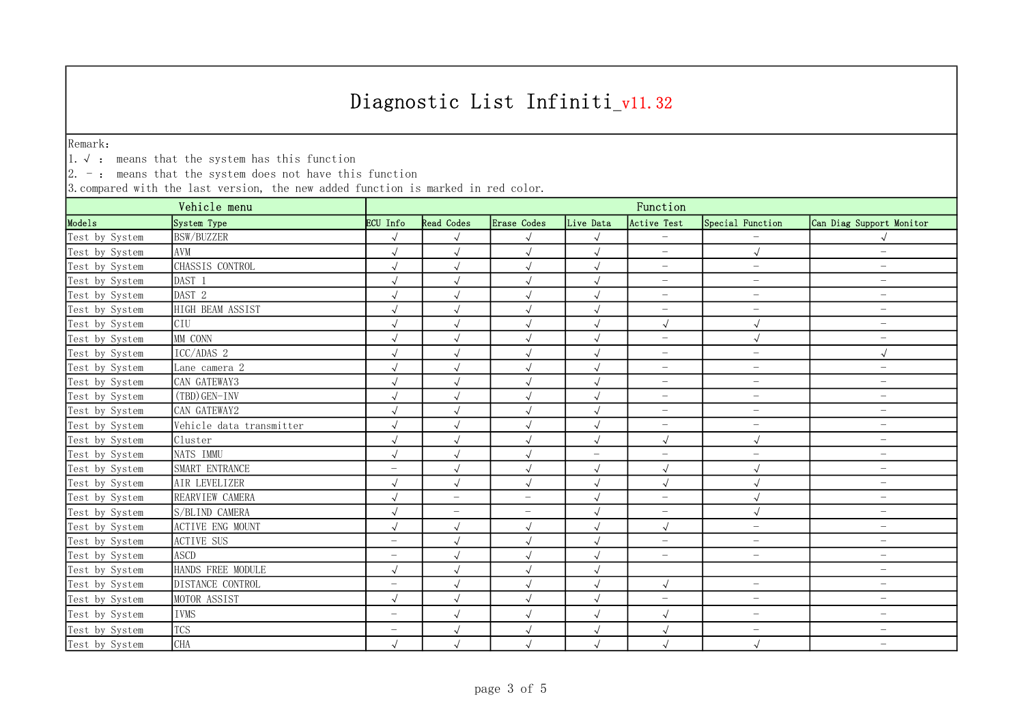Remark:

1.√ : means that the system has this function

 $\vert 2.$  -: means that the system does not have this function

| Vehicle menu   |                          | Function                 |                          |                          |                          |                          |                          |                          |  |
|----------------|--------------------------|--------------------------|--------------------------|--------------------------|--------------------------|--------------------------|--------------------------|--------------------------|--|
| Mode1s         | System Type              | ECU Info                 | <b>Read Codes</b>        | Erase Codes              | Live Data                | <b>Active Test</b>       | Special Function         | Can Diag Support Monitor |  |
| Test by System | <b>BSW/BUZZER</b>        | $\sqrt{ }$               | $\sqrt{ }$               | $\sqrt{ }$               | $\sqrt{ }$               | $\overline{\phantom{m}}$ |                          |                          |  |
| Test by System | AVM                      | $\sqrt{ }$               | $\sqrt{ }$               | $\sqrt{ }$               | $\sqrt{}$                | $\overline{\phantom{a}}$ | $\sqrt{ }$               | $\overline{\phantom{m}}$ |  |
| Test by System | CHASSIS CONTROL          | $\sqrt{ }$               | $\sqrt{}$                | $\sqrt{}$                | $\sqrt{ }$               | $\overline{\phantom{a}}$ | $\overline{\phantom{m}}$ | $\overline{\phantom{m}}$ |  |
| Test by System | DAST 1                   | $\sqrt{ }$               | $\sqrt{ }$               | $\sqrt{ }$               | $\sqrt{ }$               | $\overline{\phantom{a}}$ | $\overline{\phantom{a}}$ | $\overline{\phantom{m}}$ |  |
| Test by System | DAST 2                   | $\sqrt{ }$               | $\sqrt{ }$               | $\sqrt{ }$               | $\sqrt{ }$               | $\overline{\phantom{m}}$ | $\overline{\phantom{m}}$ | $\qquad \qquad -$        |  |
| Test by System | HIGH BEAM ASSIST         | $\sqrt{ }$               | $\sqrt{ }$               | $\sqrt{ }$               | $\sqrt{}$                | $\overline{\phantom{m}}$ | $\overline{\phantom{0}}$ | $\overline{\phantom{0}}$ |  |
| Test by System | CIU                      | $\sqrt{}$                | $\sqrt{ }$               | $\sqrt{ }$               | $\sqrt{}$                | $\sqrt{ }$               | $\sqrt{ }$               | $\overline{\phantom{m}}$ |  |
| Test by System | MM CONN                  | $\sqrt{ }$               | $\sqrt{ }$               | $\sqrt{ }$               | $\sqrt{ }$               | $\overline{\phantom{m}}$ | $\sqrt{}$                | $\overline{\phantom{m}}$ |  |
| Test by System | ICC/ADAS 2               | $\sqrt{ }$               | $\sqrt{ }$               | $\sqrt{ }$               | $\sqrt{ }$               | $\overline{\phantom{m}}$ | $\overline{\phantom{0}}$ | $\sqrt{ }$               |  |
| Test by System | Lane camera 2            | $\sqrt{ }$               | $\sqrt{ }$               | $\sqrt{ }$               | $\sqrt{}$                | $\overline{\phantom{m}}$ | $\overline{\phantom{m}}$ | $\overline{\phantom{m}}$ |  |
| Test by System | CAN GATEWAY3             | $\sqrt{\phantom{a}}$     | $\sqrt{ }$               | $\sqrt{ }$               | $\sqrt{ }$               | $\overline{\phantom{a}}$ | $\overline{\phantom{0}}$ | $\qquad \qquad -$        |  |
| Test by System | (TBD) GEN-INV            | $\sqrt{ }$               | $\sqrt{ }$               | $\sqrt{ }$               | $\sqrt{ }$               | $\overline{\phantom{a}}$ | $\overline{\phantom{0}}$ | $\overline{\phantom{m}}$ |  |
| Test by System | CAN GATEWAY2             | $\sqrt{}$                | $\sqrt{ }$               | $\sqrt{\phantom{a}}$     | $\sqrt{ }$               | $\overline{\phantom{m}}$ | $\overline{\phantom{m}}$ | $\qquad \qquad -$        |  |
| Test by System | Vehicle data transmitter | $\sqrt{ }$               | $\sqrt{ }$               | $\sqrt{ }$               | $\sqrt{ }$               | $\overline{\phantom{a}}$ | $\overline{\phantom{0}}$ | $\overline{\phantom{m}}$ |  |
| Test by System | Cluster                  | $\sqrt{}$                | $\sqrt{ }$               | $\sqrt{ }$               | $\sqrt{}$                | $\sqrt{}$                | $\sqrt{ }$               | $\overline{\phantom{m}}$ |  |
| Test by System | NATS IMMU                | $\sqrt{2}$               | $\sqrt{ }$               | $\sqrt{ }$               | $\overline{\phantom{m}}$ | $\overline{\phantom{a}}$ | $\overline{\phantom{0}}$ | $\overline{\phantom{m}}$ |  |
| Test by System | SMART ENTRANCE           | $\overline{\phantom{m}}$ | $\sqrt{ }$               | $\sqrt{ }$               | $\sqrt{ }$               | $\sqrt{ }$               | $\sqrt{ }$               | $\qquad \qquad -$        |  |
| Test by System | AIR LEVELIZER            | $\sqrt{ }$               | $\sqrt{ }$               | $\sqrt{}$                | $\sqrt{}$                | $\sqrt{ }$               | $\sqrt{}$                | $\qquad \qquad -$        |  |
| Test by System | REARVIEW CAMERA          | $\sqrt{ }$               | $\overline{\phantom{m}}$ | $\overline{\phantom{m}}$ | $\sqrt{ }$               | $\overline{\phantom{m}}$ |                          | $\qquad \qquad -$        |  |
| Test by System | S/BLIND CAMERA           | $\sqrt{ }$               | $\overline{\phantom{m}}$ | $\overline{\phantom{a}}$ | $\sqrt{ }$               | $\overline{\phantom{a}}$ | $\sqrt{}$                | $\overline{\phantom{m}}$ |  |
| Test by System | <b>ACTIVE ENG MOUNT</b>  | $\sqrt{}$                | $\sqrt{ }$               | $\sqrt{ }$               | $\sqrt{ }$               | $\sqrt{ }$               | $\overline{\phantom{m}}$ | $\qquad \qquad -$        |  |
| Test by System | <b>ACTIVE SUS</b>        | $\overline{\phantom{m}}$ | $\sqrt{ }$               | $\sqrt{ }$               | $\sqrt{ }$               | $\overline{\phantom{a}}$ | $\overline{\phantom{m}}$ | $\overline{\phantom{m}}$ |  |
| Test by System | <b>ASCD</b>              | $\overline{\phantom{m}}$ | $\sqrt{ }$               |                          | $\sqrt{ }$               | $\overline{\phantom{m}}$ | $\overline{\phantom{m}}$ | $\qquad \qquad -$        |  |
| Test by System | HANDS FREE MODULE        | $\sqrt{ }$               | $\sqrt{ }$               | $\sqrt{ }$               | $\sqrt{}$                |                          |                          | $\overline{\phantom{m}}$ |  |
| Test by System | DISTANCE CONTROL         | $\qquad \qquad -$        | $\sqrt{ }$               | $\sqrt{ }$               | $\sqrt{ }$               | $\sqrt{ }$               | $\overline{\phantom{0}}$ | $\overline{\phantom{m}}$ |  |
| Test by System | MOTOR ASSIST             | $\sqrt{}$                | $\sqrt{ }$               | $\sqrt{ }$               | $\sqrt{}$                | $\overline{\phantom{m}}$ | $\overline{\phantom{0}}$ | $\overline{\phantom{0}}$ |  |
| Test by System | IVMS                     | $\overline{\phantom{m}}$ | $\sqrt{ }$               | $\sqrt{\phantom{a}}$     | $\sqrt{}$                | $\sqrt{ }$               | $\qquad \qquad -$        | $\overline{\phantom{0}}$ |  |
| Test by System | <b>TCS</b>               | $\overline{\phantom{m}}$ | $\sqrt{ }$               | $\sqrt{ }$               | $\sqrt{ }$               | $\sqrt{ }$               | $\overline{\phantom{m}}$ | $\overline{\phantom{0}}$ |  |
| Test by System | <b>CHA</b>               | $\sqrt{}$                | $\sqrt{ }$               |                          | $\sqrt{ }$               | $\sqrt{}$                | $\sqrt{ }$               | $\overline{\phantom{m}}$ |  |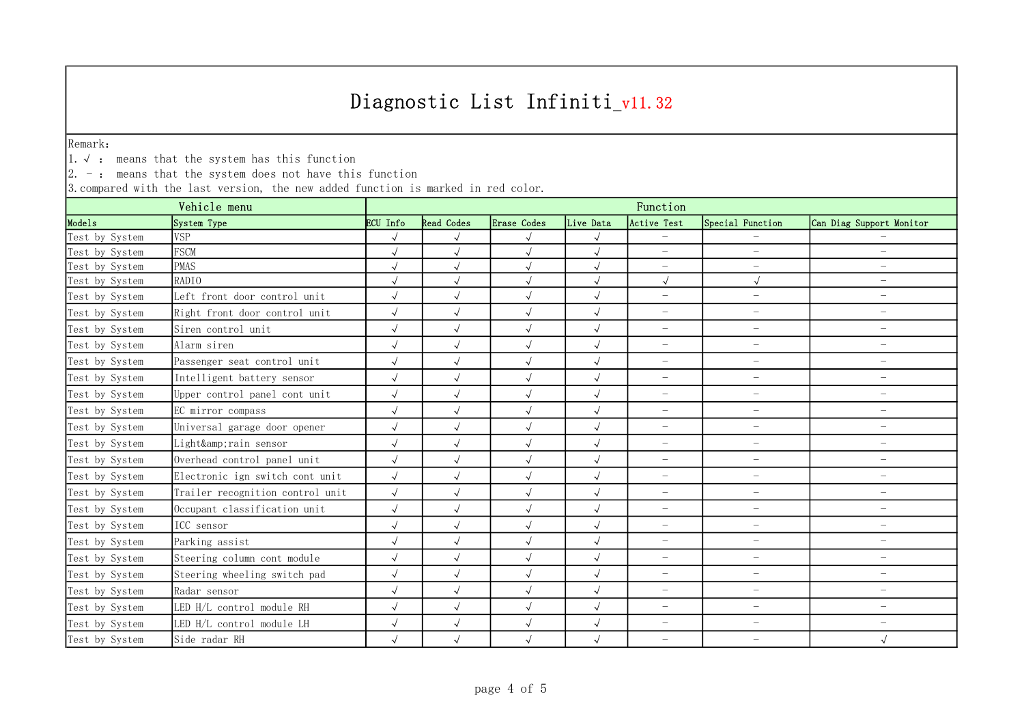Remark:

1.√ : means that the system has this function

 $\vert 2.$  -: means that the system does not have this function

| Vehicle menu   |                                  | Function   |                   |             |              |                          |                          |                          |  |  |
|----------------|----------------------------------|------------|-------------------|-------------|--------------|--------------------------|--------------------------|--------------------------|--|--|
| Models         | System Type                      | ECU Info   | <b>Read Codes</b> | Erase Codes | Live Data    | <b>Active Test</b>       | Special Function         | Can Diag Support Monitor |  |  |
| Test by System | <b>VSP</b>                       | $\sqrt{2}$ | $\sqrt{ }$        | $\sqrt{}$   | $\sqrt{ }$   | $\overline{\phantom{0}}$ |                          |                          |  |  |
| Test by System | <b>FSCM</b>                      | $\sqrt{ }$ | $\sqrt{}$         | $\sqrt{}$   | $\checkmark$ | $-$                      | $\qquad \qquad -$        | $\overline{\phantom{m}}$ |  |  |
| Test by System | <b>PMAS</b>                      | $\sqrt{ }$ | $\sqrt{2}$        | $\sqrt{}$   | $\sqrt{ }$   | $\overline{\phantom{a}}$ | $-$                      | $\qquad \qquad -$        |  |  |
| Test by System | RADIO                            | $\sqrt{2}$ | $\sqrt{}$         | $\sqrt{ }$  | $\sqrt{ }$   | $\sqrt{ }$               | $\sqrt{ }$               | $\qquad \qquad -$        |  |  |
| Test by System | Left front door control unit     | $\sqrt{ }$ | $\sqrt{ }$        | $\sqrt{ }$  | $\sqrt{ }$   | $\overline{\phantom{a}}$ | $\overline{\phantom{0}}$ | $\overline{\phantom{a}}$ |  |  |
| Test by System | Right front door control unit    | $\sqrt{ }$ | $\sqrt{ }$        | $\sqrt{ }$  | $\sqrt{ }$   | $\overline{\phantom{0}}$ | $\overline{\phantom{0}}$ | $\overline{\phantom{0}}$ |  |  |
| Test by System | Siren control unit               | $\sqrt{ }$ | $\sqrt{}$         | $\sqrt{}$   | $\sqrt{ }$   | $-$                      | $\overline{\phantom{0}}$ | $\qquad \qquad -$        |  |  |
| Test by System | Alarm siren                      | $\sqrt{}$  | $\sqrt{}$         | $\sqrt{ }$  | $\sqrt{ }$   | $\overline{\phantom{m}}$ | $\overline{\phantom{0}}$ | $\qquad \qquad -$        |  |  |
| Test by System | Passenger seat control unit      | $\sqrt{ }$ |                   | $\sqrt{}$   | $\sqrt{ }$   | $\overline{\phantom{m}}$ | $-$                      | $\overline{\phantom{0}}$ |  |  |
| Test by System | Intelligent battery sensor       | $\sqrt{ }$ | $\sqrt{ }$        | $\sqrt{}$   | $\sqrt{ }$   | $\qquad \qquad -$        | $\overline{\phantom{m}}$ | $\qquad \qquad -$        |  |  |
| Test by System | Upper control panel cont unit    | $\sqrt{ }$ | $\sqrt{ }$        | $\sqrt{2}$  | $\sqrt{ }$   | $\overline{\phantom{0}}$ | $\overline{\phantom{0}}$ | $\overline{\phantom{m}}$ |  |  |
| Test by System | EC mirror compass                | $\sqrt{ }$ | $\sqrt{ }$        | $\sqrt{}$   | $\sqrt{ }$   | $\overline{\phantom{a}}$ | $-$                      | $\overline{\phantom{a}}$ |  |  |
| Test by System | Universal garage door opener     | $\sqrt{ }$ | $\sqrt{ }$        | $\sqrt{ }$  | $\sqrt{ }$   | $\overline{\phantom{m}}$ | $\overline{\phantom{0}}$ | $\qquad \qquad -$        |  |  |
| Test by System | Light&rain sensor                | $\sqrt{2}$ | $\sqrt{}$         | $\sqrt{}$   | $\sqrt{ }$   | $-$                      | $\overline{\phantom{0}}$ | $\qquad \qquad -$        |  |  |
| Test by System | Overhead control panel unit      | $\sqrt{}$  | $\sqrt{}$         | $\sqrt{ }$  | $\sqrt{}$    | $\overline{\phantom{m}}$ | $-$                      | $\overline{\phantom{m}}$ |  |  |
| Test by System | Electronic ign switch cont unit  | $\sqrt{}$  | $\sqrt{}$         | $\sqrt{}$   | $\sqrt{ }$   | $\overline{\phantom{m}}$ | $\qquad \qquad -$        | $\qquad \qquad -$        |  |  |
| Test by System | Trailer recognition control unit | $\sqrt{ }$ | $\sqrt{}$         | $\sqrt{}$   | $\sqrt{ }$   | $\overline{\phantom{m}}$ | $\overline{\phantom{m}}$ | $\overline{\phantom{0}}$ |  |  |
| Test by System | Occupant classification unit     | $\sqrt{ }$ | $\sqrt{ }$        | $\sqrt{ }$  | $\sqrt{ }$   | $\overline{\phantom{m}}$ | $\qquad \qquad -$        | $\overline{\phantom{0}}$ |  |  |
| Test by System | ICC sensor                       | $\sqrt{ }$ | $\sqrt{2}$        | $\sqrt{}$   | $\sqrt{ }$   | $\overline{\phantom{0}}$ | $\overline{\phantom{0}}$ | $\overline{\phantom{a}}$ |  |  |
| Test by System | Parking assist                   | $\sqrt{ }$ | $\sqrt{ }$        | $\sqrt{ }$  | $\sqrt{ }$   | $\overline{\phantom{0}}$ | $\overline{\phantom{a}}$ | $\qquad \qquad -$        |  |  |
| Test by System | Steering column cont module      | $\sqrt{2}$ | $\sqrt{ }$        | $\sqrt{}$   | $\sqrt{ }$   | $\overline{\phantom{m}}$ | $\qquad \qquad -$        | $\overline{\phantom{0}}$ |  |  |
| Test by System | Steering wheeling switch pad     | $\sqrt{ }$ | $\sqrt{ }$        | $\sqrt{ }$  | $\sqrt{ }$   | $\overline{\phantom{m}}$ | $\overline{\phantom{0}}$ | $\qquad \qquad -$        |  |  |
| Test by System | Radar sensor                     | $\sqrt{ }$ | $\sqrt{}$         | $\sqrt{ }$  | $\sqrt{ }$   | $\overline{\phantom{m}}$ | $\overline{\phantom{0}}$ | $\qquad \qquad -$        |  |  |
| Test by System | LED H/L control module RH        | $\sqrt{ }$ | $\sqrt{ }$        | $\sqrt{ }$  | $\sqrt{ }$   | $\overline{\phantom{m}}$ | $\overline{\phantom{m}}$ | $\overline{\phantom{0}}$ |  |  |
| Test by System | LED H/L control module LH        | $\sqrt{ }$ | $\sqrt{ }$        | $\sqrt{ }$  | $\sqrt{ }$   | $\overline{\phantom{m}}$ | $\overline{\phantom{0}}$ | $\overline{\phantom{m}}$ |  |  |
| Test by System | Side radar RH                    | $\sqrt{ }$ | $\sqrt{ }$        | $\sqrt{}$   | $\sqrt{2}$   | $\overline{\phantom{m}}$ | $\qquad \qquad -$        | $\sqrt{}$                |  |  |